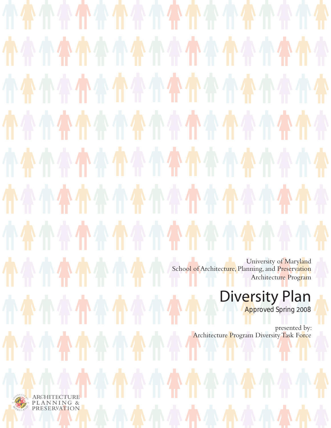$\mathbb{R}$ University of Maryland School of Architecture, Planning, and Preservation Architecture Program Diversity Plan **Approved Spring 2008** presented by: Architecture Program Diversity Task Force



ARCHITECTURE<br>PLANNING &<br>PRESERVATION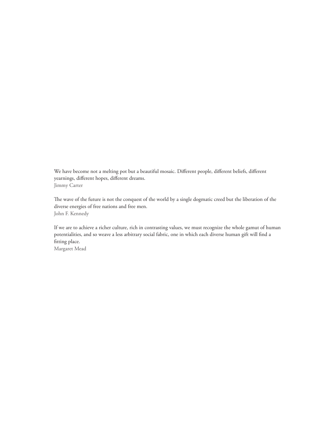We have become not a melting pot but a beautiful mosaic. Different people, different beliefs, different yearnings, different hopes, different dreams. Jimmy Carter

The wave of the future is not the conquest of the world by a single dogmatic creed but the liberation of the diverse energies of free nations and free men. John F. Kennedy

If we are to achieve a richer culture, rich in contrasting values, we must recognize the whole gamut of human potentialities, and so weave a less arbitrary social fabric, one in which each diverse human gift will find a fitting place. Margaret Mead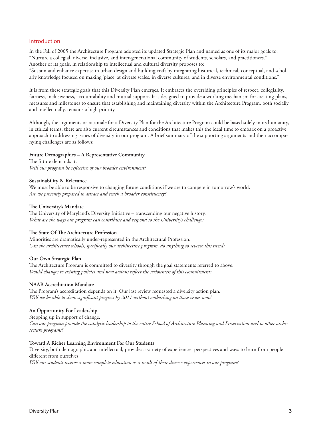## Introduction

In the Fall of 2005 the Architecture Program adopted its updated Strategic Plan and named as one of its major goals to: "Nurture a collegial, diverse, inclusive, and inter-generational community of students, scholars, and practitioners." Another of its goals, in relationship to intellectual and cultural diversity proposes to:

"Sustain and enhance expertise in urban design and building craft by integrating historical, technical, conceptual, and scholarly knowledge focused on making 'place' at diverse scales, in diverse cultures, and in diverse environmental conditions."

It is from these strategic goals that this Diversity Plan emerges. It embraces the overriding principles of respect, collegiality, fairness, inclusiveness, accountability and mutual support. It is designed to provide a working mechanism for creating plans, measures and milestones to ensure that establishing and maintaining diversity within the Architecture Program, both socially and intellectually, remains a high priority.

Although, the arguments or rationale for a Diversity Plan for the Architecture Program could be based solely in its humanity, in ethical terms, there are also current circumstances and conditions that makes this the ideal time to embark on a proactive approach to addressing issues of diversity in our program. A brief summary of the supporting arguments and their accompanying challenges are as follows:

## **Future Demographics – A Representative Community**

The future demands it. *Will our program be reflective of our broader environment?*

### **Sustainability & Relevance**

We must be able to be responsive to changing future conditions if we are to compete in tomorrow's world. *Are we presently prepared to attract and teach a broader constituency?*

## **The University's Mandate**

The University of Maryland's Diversity Initiative – transcending our negative history. *What are the ways our program can contribute and respond to the University's challenge?*

## **The State Of The Architecture Profession**

Minorities are dramatically under-represented in the Architectural Profession. *Can the architecture schools, specifically our architecture program, do anything to reverse this trend?* 

## **Our Own Strategic Plan**

The Architecture Program is committed to diversity through the goal statements referred to above. *Would changes to existing policies and new actions reflect the seriousness of this commitment?*

### **NAAB Accreditation Mandate**

The Program's accreditation depends on it. Our last review requested a diversity action plan. *Will we be able to show significant progress by 2011 without embarking on those issues now?*

## **An Opportunity For Leadership**

Stepping up in support of change. *Can our program provide the catalytic leadership to the entire School of Architecture Planning and Preservation and to other architecture programs?* 

### **Toward A Richer Learning Environment For Our Students**

Diversity, both demographic and intellectual, provides a variety of experiences, perspectives and ways to learn from people different from ourselves.

*Will our students receive a more complete education as a result of their diverse experiences in our program?*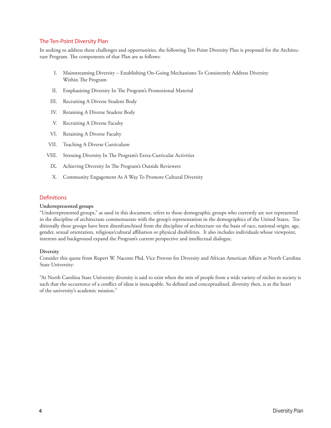# The Ten-Point Diversity Plan

In seeking to address these challenges and opportunities, the following Ten-Point Diversity Plan is proposed for the Architecture Program. The components of that Plan are as follows:

- I. Mainstreaming Diversity Establishing On-Going Mechanisms To Consistently Address Diversity Within The Program
- II. Emphasizing Diversity In The Program's Promotional Material
- III. Recruiting A Diverse Student Body
- IV. Retaining A Diverse Student Body
- V. Recruiting A Diverse Faculty
- VI. Retaining A Diverse Faculty
- VII. Teaching A Diverse Curriculum
- VIII. Stressing Diversity In The Program's Extra-Curricular Activities
- IX. Achieving Diversity In The Program's Outside Reviewers
- X. Community Engagement As A Way To Promote Cultural Diversity

## **Definitions**

## **Underrepresented groups**

"Underrepresented groups," as used in this document, refers to those demographic groups who currently are not represented in the discipline of architecture commensurate with the group's representation in the demographics of the United States. Traditionally these groups have been disenfranchised from the discipline of architecture on the basis of race, national origin, age, gender, sexual orientation, religious/cultural affiliation or physical disabilities. It also includes individuals whose viewpoint, interests and background expand the Program's current perspective and intellectual dialogue.

### **Diversity**

Consider this quote from Rupert W. Nacoste Phd, Vice Provost for Diversity and African American Affairs at North Carolina State University:

"At North Carolina State University diversity is said to exist when the mix of people from a wide variety of niches in society is such that the occurrence of a conflict of ideas is inescapable. So defined and conceptualized, diversity then, is at the heart of the university's academic mission."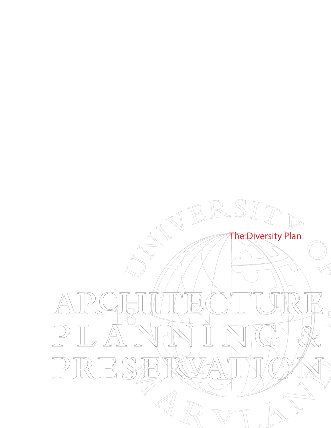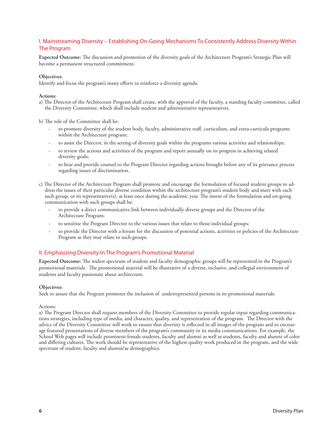# I. Mainstreaming Diversity – Establishing On-Going Mechanisms To Consistently Address Diversity Within The Program

**Expected Outcome:** The discussion and promotion of the diversity goals of the Architecture Program's Strategic Plan will become a permanent structured commitment.

### **Objectives:**

Identify and focus the program's many efforts to reinforce a diversity agenda.

### **Actions:**

a) The Director of the Architecture Program shall create, with the approval of the faculty, a standing faculty committee, called the Diversity Committee, which shall include student and administrative representatives.

b) The role of the Committee shall be:

- to promote diversity of the student body, faculty, administrative staff, curriculum, and extra-curricula programs within the Architecture program;
- to assist the Director, in the setting of diversity goals within the programs various activities and relationships;
- to review the actions and activities of the program and report annually on its progress in achieving related diversity goals;
- to hear and provide counsel to the Program Director regarding actions brought before any of its grievance process regarding issues of discrimination.
- c) The Director of the Architecture Program shall promote and encourage the formulation of focused student groups to address the issues of their particular diverse condition within the architecture program's student body and meet with each such group, or its representative(s), at least once during the academic year. The intent of the formulation and on-going communication with such groups shall be:
	- to provide a direct communicative link between individually diverse groups and the Director of the Architecture Program;
	- to sensitize the Program Director to the various issues that relate to those individual groups;
	- to provide the Director with a forum for the discussion of potential actions, activities or policies of the Architecture Program as they may relate to such groups.

# II. Emphasizing Diversity In The Program's Promotional Material

**Expected Outcome:** The widest spectrum of student and faculty demographic groups will be represented in the Program's promotional materials. The promotional material will be illustrative of a diverse, inclusive, and collegial environment of students and faculty passionate about architecture.

### **Objectives:**

Seek to assure that the Program promotes the inclusion of underrepresented persons in its promotional materials.

### Actions:

a) The Program Director shall request members of the Diversity Committee to provide regular input regarding communications strategies, including type of media, and character, quality, and representation of the program. The Director with the advice of the Diversity Committee will work to ensure that diversity is reflected in all images of the program and to encourage featured presentations of diverse members of the program's community in its media communications. For example, the School Web pages will include prominent female students, faculty and alumni as well as students, faculty and alumni of color and differing cultures. The work should be representative of the highest quality work produced in the program, and the wide spectrum of student, faculty and alumni/ae demographics.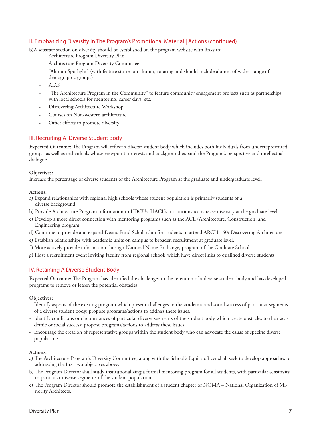# II. Emphasizing Diversity In The Program's Promotional Material | Actions (continued)

b)A separate section on diversity should be established on the program website with links to:

- Architecture Program Diversity Plan
- Architecture Program Diversity Committee
- "Alumni Spotlight" (with feature stories on alumni; rotating and should include alumni of widest range of demographic groups)
- AIAS
- "The Architecture Program in the Community" to feature community engagement projects such as partnerships with local schools for mentoring, career days, etc.
- Discovering Architecture Workshop
- Courses on Non-western architecture
- Other efforts to promote diversity

# III. Recruiting A Diverse Student Body

**Expected Outcome:** The Program will reflect a diverse student body which includes both individuals from underrepresented groups as well as individuals whose viewpoint, interests and background expand the Program's perspective and intellectual dialogue.

## **Objectives:**

Increase the percentage of diverse students of the Architecture Program at the graduate and undergraduate level.

### **Actions:**

- a) Expand relationships with regional high schools whose student population is primarily students of a diverse background.
- b) Provide Architecture Program information to HBCUs, HACUs institutions to increase diversity at the graduate level
- c) Develop a more direct connection with mentoring programs such as the ACE (Architecture, Construction, and Engineering program
- d) Continue to provide and expand Dean's Fund Scholarship for students to attend ARCH 150: Discovering Architecture
- e) Establish relationships with academic units on campus to broaden recruitment at graduate level.
- f) More actively provide information through National Name Exchange, program of the Graduate School.
- g) Host a recruitment event inviting faculty from regional schools which have direct links to qualified diverse students.

## IV. Retaining A Diverse Student Body

**Expected Outcome:** The Program has identified the challenges to the retention of a diverse student body and has developed programs to remove or lessen the potential obstacles.

## **Objectives:**

- Identify aspects of the existing program which present challenges to the academic and social success of particular segments of a diverse student body; propose programs/actions to address these issues.
- Identify conditions or circumstances of particular diverse segments of the student body which create obstacles to their academic or social success; propose programs/actions to address these issues.
- Encourage the creation of representative groups within the student body who can advocate the cause of specific diverse populations.

- a) The Architecture Program's Diversity Committee, along with the School's Equity officer shall seek to develop approaches to addressing the first two objectives above.
- b) The Program Director shall study institutionalizing a formal mentoring program for all students, with particular sensitivity to particular diverse segments of the student population.
- c) The Program Director should promote the establishment of a student chapter of NOMA National Organization of Minority Architects.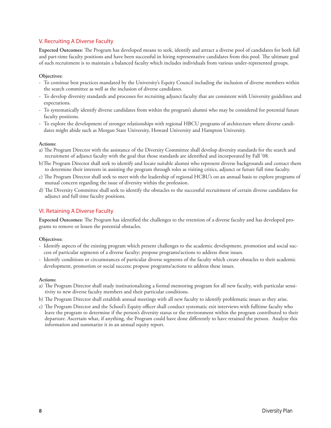# V. Recruiting A Diverse Faculty

**Expected Outcomes:** The Program has developed means to seek, identify and attract a diverse pool of candidates for both full and part-time faculty positions and have been successful in hiring representative candidates from this pool. The ultimate goal of such recruitment is to maintain a balanced faculty which includes individuals from various under-represented groups.

## **Objectives:**

- To continue best practices mandated by the University's Equity Council including the inclusion of diverse members within the search committee as well as the inclusion of diverse candidates.
- To develop diversity standards and processes for recruiting adjunct faculty that are consistent with University guidelines and expectations.
- To systematically identify diverse candidates from within the program's alumni who may be considered for potential future faculty positions.
- To explore the development of stronger relationships with regional HBCU programs of architecture where diverse candidates might abide such as Morgan State University, Howard University and Hampton University.

### **Actions:**

- a) The Program Director with the assistance of the Diversity Committee shall develop diversity standards for the search and recruitment of adjunct faculty with the goal that those standards are identified and incorporated by Fall '08.
- b)The Program Director shall seek to identify and locate suitable alumni who represent diverse backgrounds and contact them to determine their interests in assisting the program through roles as visiting critics, adjunct or future full time faculty.
- c) The Program Director shall seek to meet with the leadership of regional HCBU's on an annual basis to explore programs of mutual concern regarding the issue of diversity within the profession.
- d) The Diversity Committee shall seek to identify the obstacles to the successful recruitment of certain diverse candidates for adjunct and full time faculty positions.

# VI. Retaining A Diverse Faculty

**Expected Outcomes:** The Program has identified the challenges to the retention of a diverse faculty and has developed programs to remove or lessen the potential obstacles.

### **Objectives:**

- Identify aspects of the existing program which present challenges to the academic development, promotion and social success of particular segments of a diverse faculty; propose programs/actions to address these issues.
- Identify conditions or circumstances of particular diverse segments of the faculty which create obstacles to their academic development, promotion or social success; propose programs/actions to address these issues.

- a) The Program Director shall study institutionalizing a formal mentoring program for all new faculty, with particular sensitivity to new diverse faculty members and their particular conditions.
- b) The Program Director shall establish annual meetings with all new faculty to identify problematic issues as they arise.
- c) The Program Director and the School's Equity officer shall conduct systematic exit interviews with fulltime faculty who leave the program to determine if the person's diversity status or the environment within the program contributed to their departure. Ascertain what, if anything, the Program could have done differently to have retained the person. Analyze this information and summarize it in an annual equity report.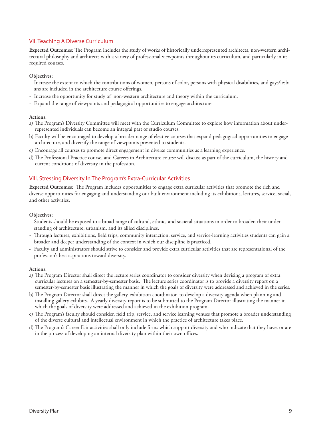# VII. Teaching A Diverse Curriculum

**Expected Outcomes:** The Program includes the study of works of historically underrepresented architects, non-western architectural philosophy and architects with a variety of professional viewpoints throughout its curriculum, and particularly in its required courses.

## **Objectives:**

- Increase the extent to which the contributions of women, persons of color, persons with physical disabilities, and gays/lesbians are included in the architecture course offerings.
- Increase the opportunity for study of non-western architecture and theory within the curriculum.
- Expand the range of viewpoints and pedagogical opportunities to engage architecture.

### **Actions:**

- a) The Program's Diversity Committee will meet with the Curriculum Committee to explore how information about underrepresented individuals can become an integral part of studio courses.
- b) Faculty will be encouraged to develop a broader range of elective courses that expand pedagogical opportunities to engage architecture, and diversify the range of viewpoints presented to students.
- c) Encourage all courses to promote direct engagement in diverse communities as a learning experience.
- d) The Professional Practice course, and Careers in Architecture course will discuss as part of the curriculum, the history and current conditions of diversity in the profession.

## VIII. Stressing Diversity In The Program's Extra-Curricular Activities

**Expected Outcomes:** The Program includes opportunities to engage extra curricular activities that promote the rich and diverse opportunities for engaging and understanding our built environment including its exhibitions, lectures, service, social, and other activities.

### **Objectives:**

- Students should be exposed to a broad range of cultural, ethnic, and societal situations in order to broaden their understanding of architecture, urbanism, and its allied disciplines.
- Through lectures, exhibitions, field trips, community interaction, service, and service-learning activities students can gain a broader and deeper understanding of the context in which our discipline is practiced.
- Faculty and administrators should strive to consider and provide extra curricular activities that are representational of the profession's best aspirations toward diversity.

- a) The Program Director shall direct the lecture series coordinator to consider diversity when devising a program of extra curricular lectures on a semester-by-semester basis. The lecture series coordinator is to provide a diversity report on a semester-by-semester basis illustrating the manner in which the goals of diversity were addressed and achieved in the series.
- b) The Program Director shall direct the gallery-exhibition coordinator to develop a diversity agenda when planning and installing gallery exhibits. A yearly diversity report is to be submitted to the Program Director illustrating the manner in which the goals of diversity were addressed and achieved in the exhibition program.
- c) The Program's faculty should consider, field trip, service, and service learning venues that promote a broader understanding of the diverse cultural and intellectual environment in which the practice of architecture takes place.
- d) The Program's Career Fair activities shall only include firms which support diversity and who indicate that they have, or are in the process of developing an internal diversity plan within their own offices.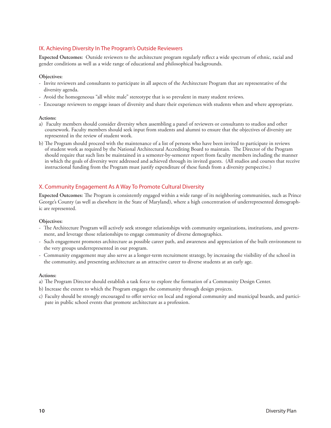# IX. Achieving Diversity In The Program's Outside Reviewers

**Expected Outcomes:** Outside reviewers to the architecture program regularly reflect a wide spectrum of ethnic, racial and gender conditions as well as a wide range of educational and philosophical backgrounds.

## **Objectives:**

- Invite reviewers and consultants to participate in all aspects of the Architecture Program that are representative of the diversity agenda.
- Avoid the homogeneous "all white male" stereotype that is so prevalent in many student reviews.
- Encourage reviewers to engage issues of diversity and share their experiences with students when and where appropriate.

### **Actions:**

- a) Faculty members should consider diversity when assembling a panel of reviewers or consultants to studios and other coursework. Faculty members should seek input from students and alumni to ensure that the objectives of diversity are represented in the review of student work.
- b) The Program should proceed with the maintenance of a list of persons who have been invited to participate in reviews of student work as required by the National Architectural Accrediting Board to maintain. The Director of the Program should require that such lists be maintained in a semester-by-semester report from faculty members including the manner in which the goals of diversity were addressed and achieved through its invited guests. (All studios and courses that receive instructional funding from the Program must justify expenditure of these funds from a diversity perspective.)

# X. Community Engagement As A Way To Promote Cultural Diversity

**Expected Outcomes:** The Program is consistently engaged within a wide range of its neighboring communities, such as Prince George's County (as well as elsewhere in the State of Maryland), where a high concentration of underrepresented demographic are represented.

### **Objectives:**

- The Architecture Program will actively seek stronger relationships with community organizations, institutions, and government, and leverage those relationships to engage community of diverse demographics.
- Such engagement promotes architecture as possible career path, and awareness and appreciation of the built environment to the very groups underrepresented in our program.
- Community engagement may also serve as a longer-term recruitment strategy, by increasing the visibility of the school in the community, and presenting architecture as an attractive career to diverse students at an early age.

- a) The Program Director should establish a task force to explore the formation of a Community Design Center.
- b) Increase the extent to which the Program engages the community through design projects.
- c) Faculty should be strongly encouraged to offer service on local and regional community and municipal boards, and participate in public school events that promote architecture as a profession.